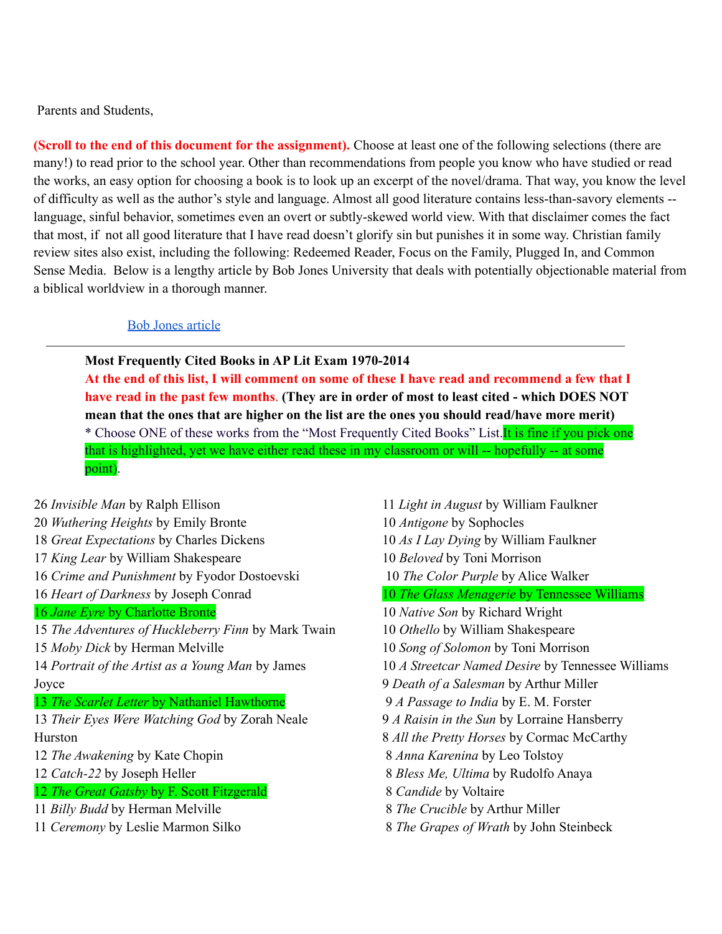Parents and Students,

**(Scroll to the end of this document for the assignment).** Choose at least one of the following selections (there are many!) to read prior to the school year. Other than recommendations from people you know who have studied or read the works, an easy option for choosing a book is to look up an excerpt of the novel/drama. That way, you know the level of difficulty as well as the author's style and language. Almost all good literature contains less-than-savory elements - language, sinful behavior, sometimes even an overt or subtly-skewed world view. With that disclaimer comes the fact that most, if not all good literature that I have read doesn't glorify sin but punishes it in some way. Christian family review sites also exist, including the following: Redeemed Reader, Focus on the Family, Plugged In, and Common Sense Media. Below is a lengthy article by Bob Jones University that deals with potentially objectionable material from a biblical worldview in a thorough manner.

## Bob Jones [article](http://www.bjupress.com/resources/christian-school/solutions/objectionable-elements.php)

**Most Frequently Cited Books in AP Lit Exam 1970-2014**

At the end of this list, I will comment on some of these I have read and recommend a few that I have read in the past few months. (They are in order of most to least cited - which DOES NOT **mean that the ones that are higher on the list are the ones you should read/have more merit)** \* Choose ONE of these works from the "Most Frequently Cited Books" List. It is fine if you pick one that is highlighted, yet we have either read these in my classroom or will -- hopefully -- at some point).

 *Invisible Man* by Ralph Ellison *Wuthering Heights* by Emily Bronte *Great Expectations* by Charles Dickens *King Lear* by William Shakespeare *Crime and Punishment* by Fyodor Dostoevski *Heart of Darkness* by Joseph Conrad *Jane Eyre* by Charlotte Bronte *The Adventures of Huckleberry Finn* by Mark Twain *Moby Dick* by Herman Melville *Portrait of the Artist as a Young Man* by James Joyce *The Scarlet Letter* by Nathaniel Hawthorne *Their Eyes Were Watching God* by Zorah Neale Hurston *The Awakening* by Kate Chopin *Catch-22* by Joseph Heller *The Great Gatsby* by F. Scott Fitzgerald *Billy Budd* by Herman Melville *Ceremony* by Leslie Marmon Silko

 *Light in August* by William Faulkner *Antigone* by Sophocles *As I Lay Dying* by William Faulkner *Beloved* by Toni Morrison *The Color Purple* by Alice Walker *The Glass Menagerie* by Tennessee Williams *Native Son* by Richard Wright *Othello* by William Shakespeare *Song of Solomon* by Toni Morrison *A Streetcar Named Desire* by Tennessee Williams *Death of a Salesman* by Arthur Miller *A Passage to India* by E. M. Forster *A Raisin in the Sun* by Lorraine Hansberry *All the Pretty Horses* by Cormac McCarthy *Anna Karenina* by Leo Tolstoy *Bless Me, Ultima* by Rudolfo Anaya *Candide* by Voltaire *The Crucible* by Arthur Miller *The Grapes of Wrath* by John Steinbeck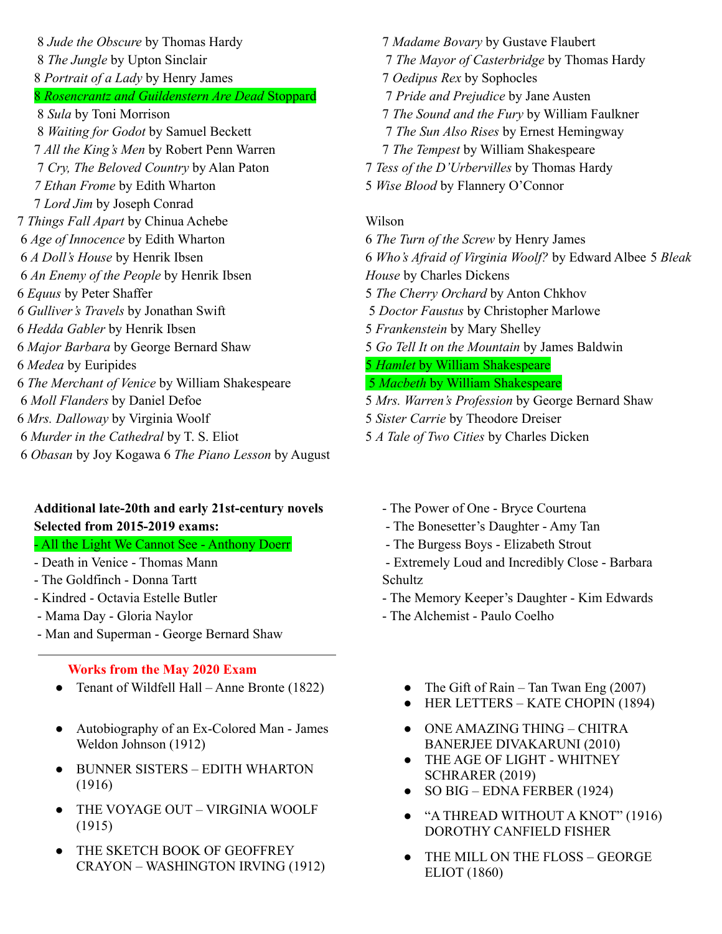*Jude the Obscure* by Thomas Hardy *The Jungle* by Upton Sinclair *Portrait of a Lady* by Henry James *Rosencrantz and Guildenstern Are Dead* Stoppard *Sula* by Toni Morrison *Waiting for Godot* by Samuel Beckett *All the King's Men* by Robert Penn Warren *Cry, The Beloved Country* by Alan Paton *Ethan Frome* by Edith Wharton *Lord Jim* by Joseph Conrad *Things Fall Apart* by Chinua Achebe *Age of Innocence* by Edith Wharton *A Doll's House* by Henrik Ibsen *An Enemy of the People* by Henrik Ibsen *Equus* by Peter Shaffer *Gulliver's Travels* by Jonathan Swift *Hedda Gabler* by Henrik Ibsen *Major Barbara* by George Bernard Shaw *Medea* by Euripides *The Merchant of Venice* by William Shakespeare *Moll Flanders* by Daniel Defoe *Mrs. Dalloway* by Virginia Woolf *Murder in the Cathedral* by T. S. Eliot *Obasan* by Joy Kogawa 6 *The Piano Lesson* by August

# **Additional late-20th and early 21st-century novels Selected from 2015-2019 exams:**

# - All the Light We Cannot See - Anthony Doerr

- Death in Venice Thomas Mann
- The Goldfinch Donna Tartt
- Kindred Octavia Estelle Butler
- Mama Day Gloria Naylor
- Man and Superman George Bernard Shaw

#### **Works from the May 2020 Exam**

- Tenant of Wildfell Hall Anne Bronte (1822) The Gift of Rain Tan Twan Eng (2007)
- Autobiography of an Ex-Colored Man James Weldon Johnson (1912)
- BUNNER SISTERS EDITH WHARTON (1916)
- THE VOYAGE OUT VIRGINIA WOOLF (1915)
- THE SKETCH BOOK OF GEOFFREY CRAYON – WASHINGTON IRVING (1912)

 *Madame Bovary* by Gustave Flaubert *The Mayor of Casterbridge* by Thomas Hardy *Oedipus Rex* by Sophocles *Pride and Prejudice* by Jane Austen *The Sound and the Fury* by William Faulkner *The Sun Also Rises* by Ernest Hemingway *The Tempest* by William Shakespeare *Tess of the D'Urbervilles* by Thomas Hardy *Wise Blood* by Flannery O'Connor

#### Wilson

 *The Turn of the Screw* by Henry James *Who's Afraid of Virginia Woolf?* by Edward Albee 5 *Bleak House* by Charles Dickens *The Cherry Orchard* by Anton Chkhov *Doctor Faustus* by Christopher Marlowe *Frankenstein* by Mary Shelley *Go Tell It on the Mountain* by James Baldwin *Hamlet* by William Shakespeare *Macbeth* by William Shakespeare *Mrs. Warren's Profession* by George Bernard Shaw

- 5 *Sister Carrie* by Theodore Dreiser
- 5 *A Tale of Two Cities* by Charles Dicken
	- The Power of One Bryce Courtena
	- The Bonesetter's Daughter Amy Tan
	- The Burgess Boys Elizabeth Strout

- Extremely Loud and Incredibly Close - Barbara Schultz

- The Memory Keeper's Daughter Kim Edwards
- The Alchemist Paulo Coelho
	-
	- HER LETTERS KATE CHOPIN (1894)
	- ONE AMAZING THING CHITRA BANERJEE DIVAKARUNI (2010)
	- THE AGE OF LIGHT WHITNEY SCHRARER (2019)
	- SO BIG EDNA FERBER (1924)
	- "A THREAD WITHOUT A KNOT" (1916) DOROTHY CANFIELD FISHER
	- THE MILL ON THE FLOSS GEORGE ELIOT (1860)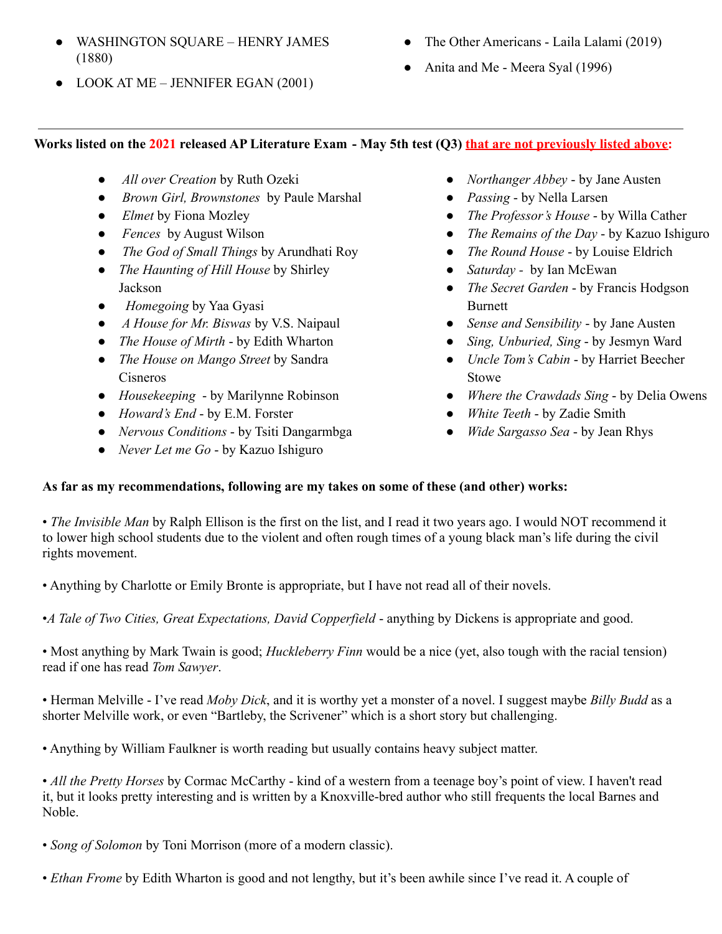- WASHINGTON SQUARE HENRY JAMES (1880)
- LOOK AT ME JENNIFER EGAN (2001)
- The Other Americans Laila Lalami (2019)
- Anita and Me Meera Syal (1996)

## Works listed on the 2021 released AP Literature Exam - May 5th test (Q3) that are not previously listed above:

- *All over Creation* by Ruth Ozeki
- *Brown Girl, Brownstones* by Paule Marshal
- *Elmet* by Fiona Mozley
- *Fences* by August Wilson
- *The God of Small Things* by Arundhati Roy
- *The Haunting of Hill House* by Shirley Jackson
- *Homegoing* by Yaa Gyasi
- *A House for Mr. Biswas* by V.S. Naipaul
- *● The House of Mirth* by Edith Wharton
- *● The House on Mango Street* by Sandra Cisneros
- *● Housekeeping* by Marilynne Robinson
- *● Howard's End* by E.M. Forster
- *● Nervous Conditions* by Tsiti Dangarmbga
- *● Never Let me Go* by Kazuo Ishiguro
- *● Northanger Abbey* by Jane Austen
- *● Passing* by Nella Larsen
- *● The Professor's House* by Willa Cather
- *● The Remains of the Day* by Kazuo Ishiguro
- *● The Round House* by Louise Eldrich
- *● Saturday -* by Ian McEwan
- *● The Secret Garden* by Francis Hodgson **Burnett**
- *● Sense and Sensibility* by Jane Austen
- *● Sing, Unburied, Sing* by Jesmyn Ward
- *● Uncle Tom's Cabin* by Harriet Beecher Stowe
- *● Where the Crawdads Sing* by Delia Owens
- *● White Teeth* by Zadie Smith
- *● Wide Sargasso Sea* by Jean Rhys

## **As far as my recommendations, following are my takes on some of these (and other) works:**

• *The Invisible Man* by Ralph Ellison is the first on the list, and I read it two years ago. I would NOT recommend it to lower high school students due to the violent and often rough times of a young black man's life during the civil rights movement.

• Anything by Charlotte or Emily Bronte is appropriate, but I have not read all of their novels.

•*A Tale of Two Cities, Great Expectations, David Copperfield* - anything by Dickens is appropriate and good.

• Most anything by Mark Twain is good; *Huckleberry Finn* would be a nice (yet, also tough with the racial tension) read if one has read *Tom Sawyer*.

• Herman Melville - I've read *Moby Dick*, and it is worthy yet a monster of a novel. I suggest maybe *Billy Budd* as a shorter Melville work, or even "Bartleby, the Scrivener" which is a short story but challenging.

• Anything by William Faulkner is worth reading but usually contains heavy subject matter.

• *All the Pretty Horses* by Cormac McCarthy - kind of a western from a teenage boy's point of view. I haven't read it, but it looks pretty interesting and is written by a Knoxville-bred author who still frequents the local Barnes and Noble.

- *Song of Solomon* by Toni Morrison (more of a modern classic).
- *Ethan Frome* by Edith Wharton is good and not lengthy, but it's been awhile since I've read it. A couple of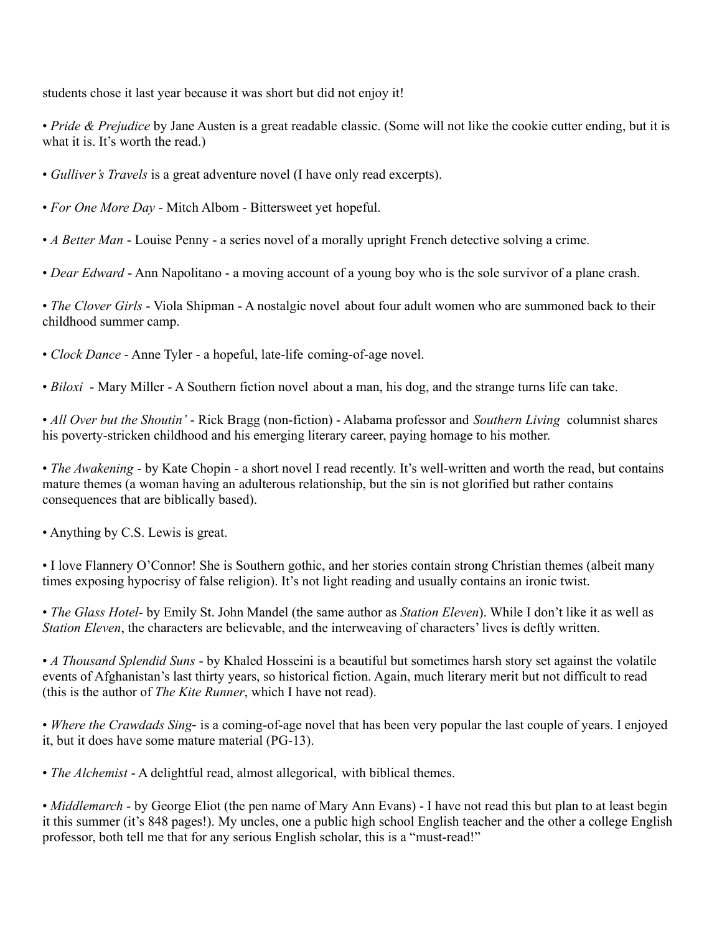students chose it last year because it was short but did not enjoy it!

• *Pride & Prejudice* by Jane Austen is a great readable classic. (Some will not like the cookie cutter ending, but it is what it is. It's worth the read.)

- *Gulliver's Travels* is a great adventure novel (I have only read excerpts).
- *For One More Day* Mitch Albom Bittersweet yet hopeful.
- *A Better Man* Louise Penny a series novel of a morally upright French detective solving a crime.
- *Dear Edward* Ann Napolitano a moving account of a young boy who is the sole survivor of a plane crash.

• *The Clover Girls* - Viola Shipman - A nostalgic novel about four adult women who are summoned back to their childhood summer camp.

• *Clock Dance* - Anne Tyler - a hopeful, late-life coming-of-age novel.

• *Biloxi* - Mary Miller - A Southern fiction novel about a man, his dog, and the strange turns life can take.

• *All Over but the Shoutin'* - Rick Bragg (non-fiction) - Alabama professor and *Southern Living* columnist shares his poverty-stricken childhood and his emerging literary career, paying homage to his mother.

• *The Awakening* - by Kate Chopin - a short novel I read recently. It's well-written and worth the read, but contains mature themes (a woman having an adulterous relationship, but the sin is not glorified but rather contains consequences that are biblically based).

• Anything by C.S. Lewis is great.

• I love Flannery O'Connor! She is Southern gothic, and her stories contain strong Christian themes (albeit many times exposing hypocrisy of false religion). It's not light reading and usually contains an ironic twist.

• *The Glass Hotel*- by Emily St. John Mandel (the same author as *Station Eleven*). While I don't like it as well as *Station Eleven*, the characters are believable, and the interweaving of characters' lives is deftly written.

• *A Thousand Splendid Suns* - by Khaled Hosseini is a beautiful but sometimes harsh story set against the volatile events of Afghanistan's last thirty years, so historical fiction. Again, much literary merit but not difficult to read (this is the author of *The Kite Runner*, which I have not read).

• *Where the Crawdads Sing*- is a coming-of-age novel that has been very popular the last couple of years. I enjoyed it, but it does have some mature material (PG-13).

• *The Alchemist* - A delightful read, almost allegorical, with biblical themes.

• *Middlemarch -* by George Eliot (the pen name of Mary Ann Evans) - I have not read this but plan to at least begin it this summer (it's 848 pages!). My uncles, one a public high school English teacher and the other a college English professor, both tell me that for any serious English scholar, this is a "must-read!"